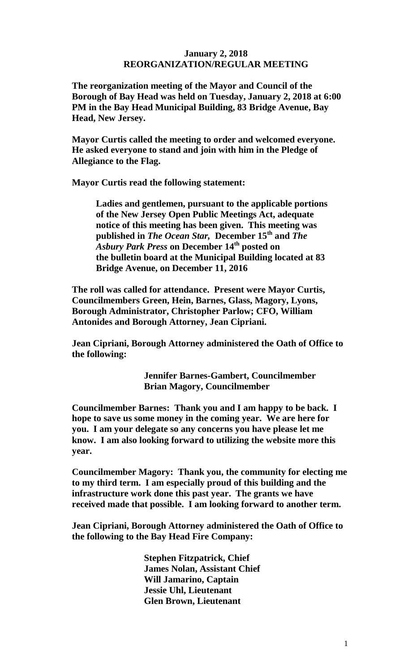## **January 2, 2018 REORGANIZATION/REGULAR MEETING**

**The reorganization meeting of the Mayor and Council of the Borough of Bay Head was held on Tuesday, January 2, 2018 at 6:00 PM in the Bay Head Municipal Building, 83 Bridge Avenue, Bay Head, New Jersey.**

**Mayor Curtis called the meeting to order and welcomed everyone. He asked everyone to stand and join with him in the Pledge of Allegiance to the Flag.**

**Mayor Curtis read the following statement:**

**Ladies and gentlemen, pursuant to the applicable portions of the New Jersey Open Public Meetings Act, adequate notice of this meeting has been given. This meeting was published in** *The Ocean Star,* **December 15 th and** *The Asbury Park Press* **on December 14th posted on the bulletin board at the Municipal Building located at 83 Bridge Avenue, on December 11, 2016**

**The roll was called for attendance. Present were Mayor Curtis, Councilmembers Green, Hein, Barnes, Glass, Magory, Lyons, Borough Administrator, Christopher Parlow; CFO, William Antonides and Borough Attorney, Jean Cipriani.**

**Jean Cipriani, Borough Attorney administered the Oath of Office to the following:**

> **Jennifer Barnes-Gambert, Councilmember Brian Magory, Councilmember**

**Councilmember Barnes: Thank you and I am happy to be back. I hope to save us some money in the coming year. We are here for you. I am your delegate so any concerns you have please let me know. I am also looking forward to utilizing the website more this year.**

**Councilmember Magory: Thank you, the community for electing me to my third term. I am especially proud of this building and the infrastructure work done this past year. The grants we have received made that possible. I am looking forward to another term.**

**Jean Cipriani, Borough Attorney administered the Oath of Office to the following to the Bay Head Fire Company:**

> **Stephen Fitzpatrick, Chief James Nolan, Assistant Chief Will Jamarino, Captain Jessie Uhl, Lieutenant Glen Brown, Lieutenant**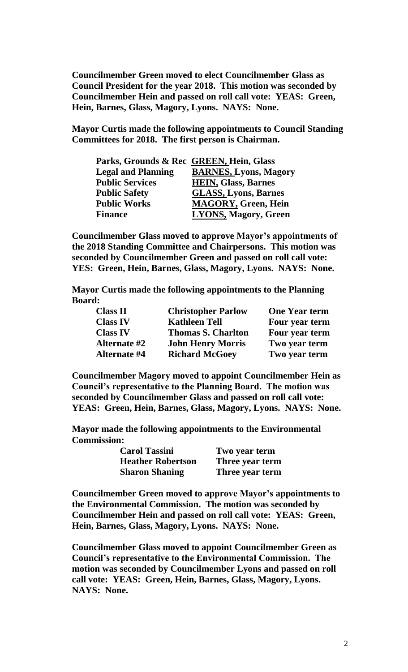**Councilmember Green moved to elect Councilmember Glass as Council President for the year 2018. This motion was seconded by Councilmember Hein and passed on roll call vote: YEAS: Green, Hein, Barnes, Glass, Magory, Lyons. NAYS: None.** 

**Mayor Curtis made the following appointments to Council Standing Committees for 2018. The first person is Chairman.**

| Parks, Grounds & Rec GREEN, Hein, Glass |                              |
|-----------------------------------------|------------------------------|
| <b>Legal and Planning</b>               | <b>BARNES, Lyons, Magory</b> |
| <b>Public Services</b>                  | <b>HEIN, Glass, Barnes</b>   |
| <b>Public Safety</b>                    | <b>GLASS, Lyons, Barnes</b>  |
| <b>Public Works</b>                     | <b>MAGORY, Green, Hein</b>   |
| <b>Finance</b>                          | <b>LYONS, Magory, Green</b>  |

**Councilmember Glass moved to approve Mayor's appointments of the 2018 Standing Committee and Chairpersons. This motion was seconded by Councilmember Green and passed on roll call vote: YES: Green, Hein, Barnes, Glass, Magory, Lyons. NAYS: None.**

**Mayor Curtis made the following appointments to the Planning Board:**

| <b>Class II</b>     | <b>Christopher Parlow</b> | <b>One Year term</b> |
|---------------------|---------------------------|----------------------|
| <b>Class IV</b>     | <b>Kathleen Tell</b>      | Four year term       |
| <b>Class IV</b>     | <b>Thomas S. Charlton</b> | Four year term       |
| <b>Alternate</b> #2 | <b>John Henry Morris</b>  | Two year term        |
| <b>Alternate #4</b> | <b>Richard McGoey</b>     | Two year term        |

**Councilmember Magory moved to appoint Councilmember Hein as Council's representative to the Planning Board. The motion was seconded by Councilmember Glass and passed on roll call vote: YEAS: Green, Hein, Barnes, Glass, Magory, Lyons. NAYS: None.**

**Mayor made the following appointments to the Environmental Commission:**

| <b>Carol Tassini</b>     | Two year term   |
|--------------------------|-----------------|
| <b>Heather Robertson</b> | Three year term |
| <b>Sharon Shaning</b>    | Three year term |

**Councilmember Green moved to approve Mayor's appointments to the Environmental Commission. The motion was seconded by Councilmember Hein and passed on roll call vote: YEAS: Green, Hein, Barnes, Glass, Magory, Lyons. NAYS: None.**

**Councilmember Glass moved to appoint Councilmember Green as Council's representative to the Environmental Commission. The motion was seconded by Councilmember Lyons and passed on roll call vote: YEAS: Green, Hein, Barnes, Glass, Magory, Lyons. NAYS: None.**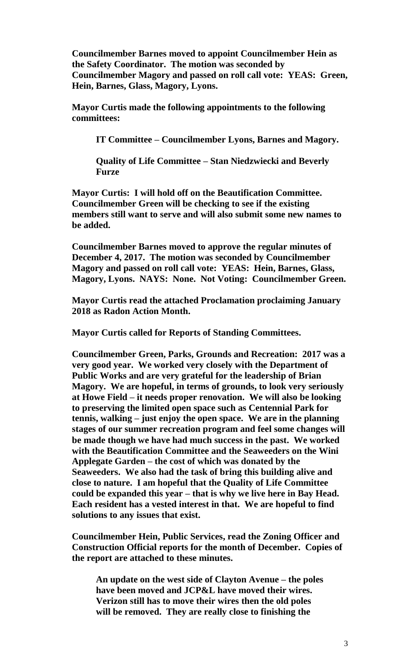**Councilmember Barnes moved to appoint Councilmember Hein as the Safety Coordinator. The motion was seconded by Councilmember Magory and passed on roll call vote: YEAS: Green, Hein, Barnes, Glass, Magory, Lyons.**

**Mayor Curtis made the following appointments to the following committees:**

**IT Committee – Councilmember Lyons, Barnes and Magory.**

**Quality of Life Committee – Stan Niedzwiecki and Beverly Furze**

**Mayor Curtis: I will hold off on the Beautification Committee. Councilmember Green will be checking to see if the existing members still want to serve and will also submit some new names to be added.**

**Councilmember Barnes moved to approve the regular minutes of December 4, 2017. The motion was seconded by Councilmember Magory and passed on roll call vote: YEAS: Hein, Barnes, Glass, Magory, Lyons. NAYS: None. Not Voting: Councilmember Green.**

**Mayor Curtis read the attached Proclamation proclaiming January 2018 as Radon Action Month.**

**Mayor Curtis called for Reports of Standing Committees.**

**Councilmember Green, Parks, Grounds and Recreation: 2017 was a very good year. We worked very closely with the Department of Public Works and are very grateful for the leadership of Brian Magory. We are hopeful, in terms of grounds, to look very seriously at Howe Field – it needs proper renovation. We will also be looking to preserving the limited open space such as Centennial Park for tennis, walking – just enjoy the open space. We are in the planning stages of our summer recreation program and feel some changes will be made though we have had much success in the past. We worked with the Beautification Committee and the Seaweeders on the Wini Applegate Garden – the cost of which was donated by the Seaweeders. We also had the task of bring this building alive and close to nature. I am hopeful that the Quality of Life Committee could be expanded this year – that is why we live here in Bay Head. Each resident has a vested interest in that. We are hopeful to find solutions to any issues that exist.** 

**Councilmember Hein, Public Services, read the Zoning Officer and Construction Official reports for the month of December. Copies of the report are attached to these minutes.**

**An update on the west side of Clayton Avenue – the poles have been moved and JCP&L have moved their wires. Verizon still has to move their wires then the old poles will be removed. They are really close to finishing the**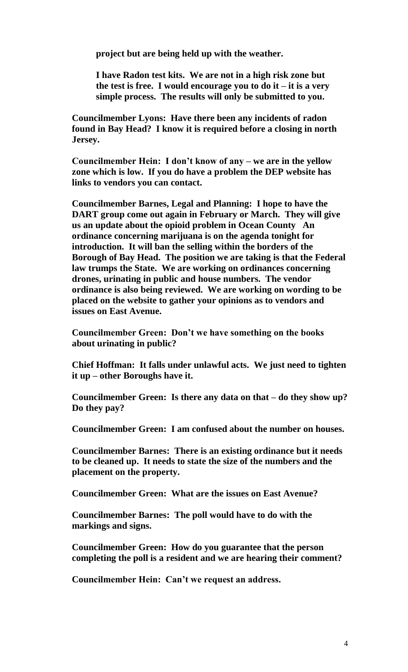**project but are being held up with the weather.**

**I have Radon test kits. We are not in a high risk zone but the test is free. I would encourage you to do it – it is a very simple process. The results will only be submitted to you.**

**Councilmember Lyons: Have there been any incidents of radon found in Bay Head? I know it is required before a closing in north Jersey.**

**Councilmember Hein: I don't know of any – we are in the yellow zone which is low. If you do have a problem the DEP website has links to vendors you can contact.**

**Councilmember Barnes, Legal and Planning: I hope to have the DART group come out again in February or March. They will give us an update about the opioid problem in Ocean County An ordinance concerning marijuana is on the agenda tonight for introduction. It will ban the selling within the borders of the Borough of Bay Head. The position we are taking is that the Federal law trumps the State. We are working on ordinances concerning drones, urinating in public and house numbers. The vendor ordinance is also being reviewed. We are working on wording to be placed on the website to gather your opinions as to vendors and issues on East Avenue.**

**Councilmember Green: Don't we have something on the books about urinating in public?**

**Chief Hoffman: It falls under unlawful acts. We just need to tighten it up – other Boroughs have it.**

**Councilmember Green: Is there any data on that – do they show up? Do they pay?**

**Councilmember Green: I am confused about the number on houses.**

**Councilmember Barnes: There is an existing ordinance but it needs to be cleaned up. It needs to state the size of the numbers and the placement on the property.**

**Councilmember Green: What are the issues on East Avenue?**

**Councilmember Barnes: The poll would have to do with the markings and signs.**

**Councilmember Green: How do you guarantee that the person completing the poll is a resident and we are hearing their comment?**

**Councilmember Hein: Can't we request an address.**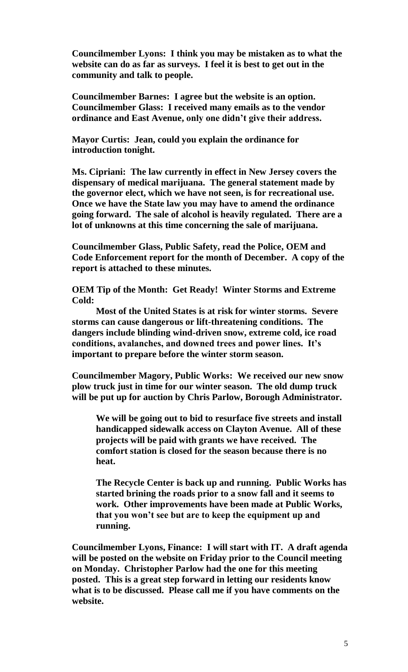**Councilmember Lyons: I think you may be mistaken as to what the website can do as far as surveys. I feel it is best to get out in the community and talk to people.**

**Councilmember Barnes: I agree but the website is an option. Councilmember Glass: I received many emails as to the vendor ordinance and East Avenue, only one didn't give their address.**

**Mayor Curtis: Jean, could you explain the ordinance for introduction tonight.**

**Ms. Cipriani: The law currently in effect in New Jersey covers the dispensary of medical marijuana. The general statement made by the governor elect, which we have not seen, is for recreational use. Once we have the State law you may have to amend the ordinance going forward. The sale of alcohol is heavily regulated. There are a lot of unknowns at this time concerning the sale of marijuana.**

**Councilmember Glass, Public Safety, read the Police, OEM and Code Enforcement report for the month of December. A copy of the report is attached to these minutes.**

**OEM Tip of the Month: Get Ready! Winter Storms and Extreme Cold:**

**Most of the United States is at risk for winter storms. Severe storms can cause dangerous or lift-threatening conditions. The dangers include blinding wind-driven snow, extreme cold, ice road conditions, avalanches, and downed trees and power lines. It's important to prepare before the winter storm season.**

**Councilmember Magory, Public Works: We received our new snow plow truck just in time for our winter season. The old dump truck will be put up for auction by Chris Parlow, Borough Administrator.** 

**We will be going out to bid to resurface five streets and install handicapped sidewalk access on Clayton Avenue. All of these projects will be paid with grants we have received. The comfort station is closed for the season because there is no heat.** 

**The Recycle Center is back up and running. Public Works has started brining the roads prior to a snow fall and it seems to work. Other improvements have been made at Public Works, that you won't see but are to keep the equipment up and running.**

**Councilmember Lyons, Finance: I will start with IT. A draft agenda will be posted on the website on Friday prior to the Council meeting on Monday. Christopher Parlow had the one for this meeting posted. This is a great step forward in letting our residents know what is to be discussed. Please call me if you have comments on the website.**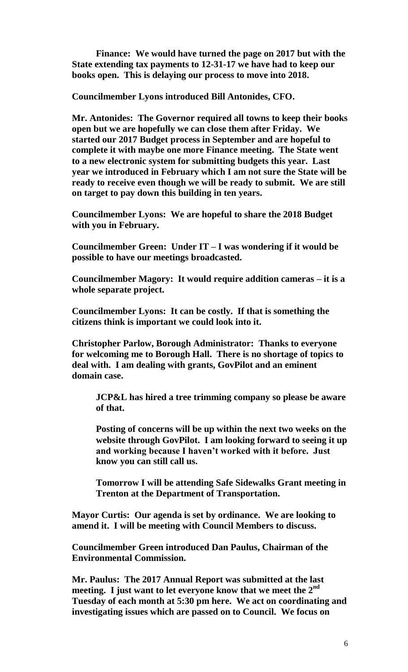**Finance: We would have turned the page on 2017 but with the State extending tax payments to 12-31-17 we have had to keep our books open. This is delaying our process to move into 2018.**

**Councilmember Lyons introduced Bill Antonides, CFO.**

**Mr. Antonides: The Governor required all towns to keep their books open but we are hopefully we can close them after Friday. We started our 2017 Budget process in September and are hopeful to complete it with maybe one more Finance meeting. The State went to a new electronic system for submitting budgets this year. Last year we introduced in February which I am not sure the State will be ready to receive even though we will be ready to submit. We are still on target to pay down this building in ten years.**

**Councilmember Lyons: We are hopeful to share the 2018 Budget with you in February.**

**Councilmember Green: Under IT – I was wondering if it would be possible to have our meetings broadcasted.**

**Councilmember Magory: It would require addition cameras – it is a whole separate project.**

**Councilmember Lyons: It can be costly. If that is something the citizens think is important we could look into it.**

**Christopher Parlow, Borough Administrator: Thanks to everyone for welcoming me to Borough Hall. There is no shortage of topics to deal with. I am dealing with grants, GovPilot and an eminent domain case.**

**JCP&L has hired a tree trimming company so please be aware of that.**

**Posting of concerns will be up within the next two weeks on the website through GovPilot. I am looking forward to seeing it up and working because I haven't worked with it before. Just know you can still call us.**

**Tomorrow I will be attending Safe Sidewalks Grant meeting in Trenton at the Department of Transportation.**

**Mayor Curtis: Our agenda is set by ordinance. We are looking to amend it. I will be meeting with Council Members to discuss.**

**Councilmember Green introduced Dan Paulus, Chairman of the Environmental Commission.**

**Mr. Paulus: The 2017 Annual Report was submitted at the last meeting. I just want to let everyone know that we meet the 2nd Tuesday of each month at 5:30 pm here. We act on coordinating and investigating issues which are passed on to Council. We focus on**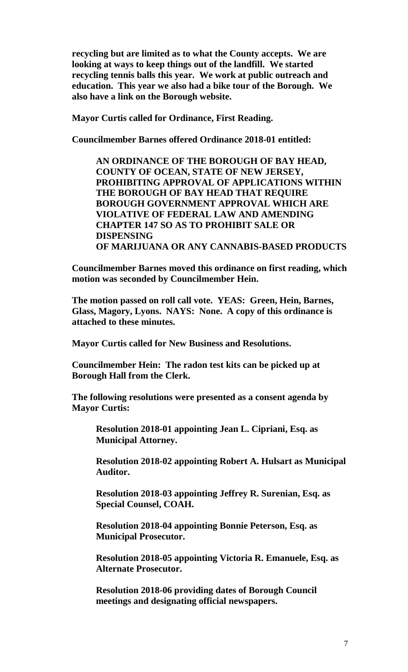**recycling but are limited as to what the County accepts. We are looking at ways to keep things out of the landfill. We started recycling tennis balls this year. We work at public outreach and education. This year we also had a bike tour of the Borough. We also have a link on the Borough website.**

**Mayor Curtis called for Ordinance, First Reading.**

**Councilmember Barnes offered Ordinance 2018-01 entitled:**

**AN ORDINANCE OF THE BOROUGH OF BAY HEAD, COUNTY OF OCEAN, STATE OF NEW JERSEY, PROHIBITING APPROVAL OF APPLICATIONS WITHIN THE BOROUGH OF BAY HEAD THAT REQUIRE BOROUGH GOVERNMENT APPROVAL WHICH ARE VIOLATIVE OF FEDERAL LAW AND AMENDING CHAPTER 147 SO AS TO PROHIBIT SALE OR DISPENSING OF MARIJUANA OR ANY CANNABIS-BASED PRODUCTS**

**Councilmember Barnes moved this ordinance on first reading, which motion was seconded by Councilmember Hein.**

**The motion passed on roll call vote. YEAS: Green, Hein, Barnes, Glass, Magory, Lyons. NAYS: None. A copy of this ordinance is attached to these minutes.**

**Mayor Curtis called for New Business and Resolutions.**

**Councilmember Hein: The radon test kits can be picked up at Borough Hall from the Clerk.**

**The following resolutions were presented as a consent agenda by Mayor Curtis:**

**Resolution 2018-01 appointing Jean L. Cipriani, Esq. as Municipal Attorney.**

**Resolution 2018-02 appointing Robert A. Hulsart as Municipal Auditor.**

**Resolution 2018-03 appointing Jeffrey R. Surenian, Esq. as Special Counsel, COAH.**

**Resolution 2018-04 appointing Bonnie Peterson, Esq. as Municipal Prosecutor.**

**Resolution 2018-05 appointing Victoria R. Emanuele, Esq. as Alternate Prosecutor.**

**Resolution 2018-06 providing dates of Borough Council meetings and designating official newspapers.**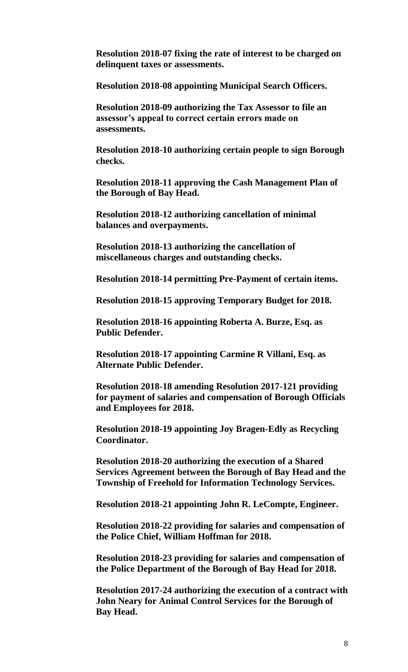**Resolution 2018-07 fixing the rate of interest to be charged on delinquent taxes or assessments.**

**Resolution 2018-08 appointing Municipal Search Officers.**

**Resolution 2018-09 authorizing the Tax Assessor to file an assessor's appeal to correct certain errors made on assessments.**

**Resolution 2018-10 authorizing certain people to sign Borough checks.**

**Resolution 2018-11 approving the Cash Management Plan of the Borough of Bay Head.**

**Resolution 2018-12 authorizing cancellation of minimal balances and overpayments.**

**Resolution 2018-13 authorizing the cancellation of miscellaneous charges and outstanding checks.**

**Resolution 2018-14 permitting Pre-Payment of certain items.**

**Resolution 2018-15 approving Temporary Budget for 2018.**

**Resolution 2018-16 appointing Roberta A. Burze, Esq. as Public Defender.**

**Resolution 2018-17 appointing Carmine R Villani, Esq. as Alternate Public Defender.**

**Resolution 2018-18 amending Resolution 2017-121 providing for payment of salaries and compensation of Borough Officials and Employees for 2018.**

**Resolution 2018-19 appointing Joy Bragen-Edly as Recycling Coordinator.**

**Resolution 2018-20 authorizing the execution of a Shared Services Agreement between the Borough of Bay Head and the Township of Freehold for Information Technology Services.**

**Resolution 2018-21 appointing John R. LeCompte, Engineer.**

**Resolution 2018-22 providing for salaries and compensation of the Police Chief, William Hoffman for 2018.**

**Resolution 2018-23 providing for salaries and compensation of the Police Department of the Borough of Bay Head for 2018.**

**Resolution 2017-24 authorizing the execution of a contract with John Neary for Animal Control Services for the Borough of Bay Head.**